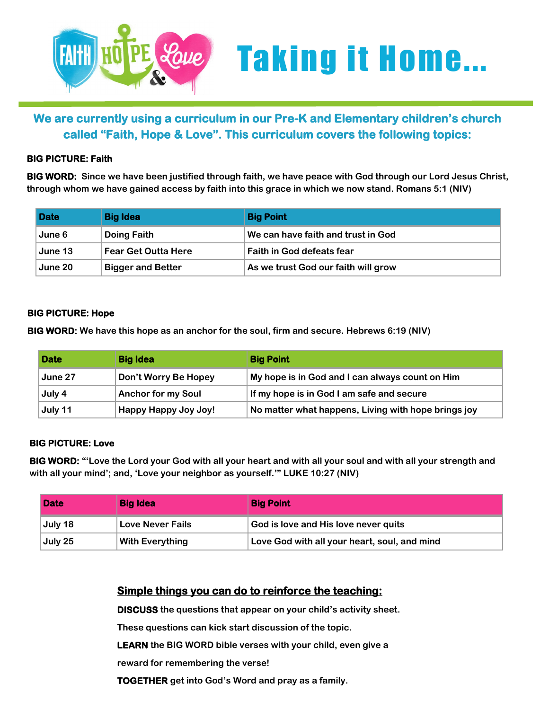

# *Leve* Taking it Home...

## **We are currently using a curriculum in our Pre-K and Elementary children's church called "Faith, Hope & Love". This curriculum covers the following topics:**

#### **BIG PICTURE: Faith**

**BIG WORD: Since we have been justified through faith, we have peace with God through our Lord Jesus Christ, through whom we have gained access by faith into this grace in which we now stand. Romans 5:1 (NIV)**

| <b>Date</b> | <b>Big Idea</b>            | <b>Big Point</b>                    |
|-------------|----------------------------|-------------------------------------|
| June 6      | Doing Faith                | We can have faith and trust in God  |
| June 13     | <b>Fear Get Outta Here</b> | <b>Faith in God defeats fear</b>    |
| June 20     | <b>Bigger and Better</b>   | As we trust God our faith will grow |

#### **BIG PICTURE: Hope**

**BIG WORD: We have this hope as an anchor for the soul, firm and secure. Hebrews 6:19 (NIV)**

| <b>Date</b> | <b>Big Idea</b>           | <b>Big Point</b>                                    |
|-------------|---------------------------|-----------------------------------------------------|
| June 27     | Don't Worry Be Hopey      | My hope is in God and I can always count on Him     |
| July 4      | <b>Anchor for my Soul</b> | If my hope is in God I am safe and secure           |
| July 11     | Happy Happy Joy Joy!      | No matter what happens, Living with hope brings joy |

#### **BIG PICTURE: Love**

**BIG WORD: "'Love the Lord your God with all your heart and with all your soul and with all your strength and with all your mind'; and, 'Love your neighbor as yourself.'" LUKE 10:27 (NIV)**

| <b>Date</b> | <b>Big Idea</b>         | <b>Big Point</b>                             |
|-------------|-------------------------|----------------------------------------------|
| July 18     | <b>Love Never Fails</b> | God is love and His love never quits         |
| July 25     | <b>With Everything</b>  | Love God with all your heart, soul, and mind |

### **Simple things you can do to reinforce the teaching:**

**DISCUSS the questions that appear on your child's activity sheet.**

**These questions can kick start discussion of the topic.**

**LEARN the BIG WORD bible verses with your child, even give a**

**reward for remembering the verse!**

**TOGETHER get into God's Word and pray as a family.**